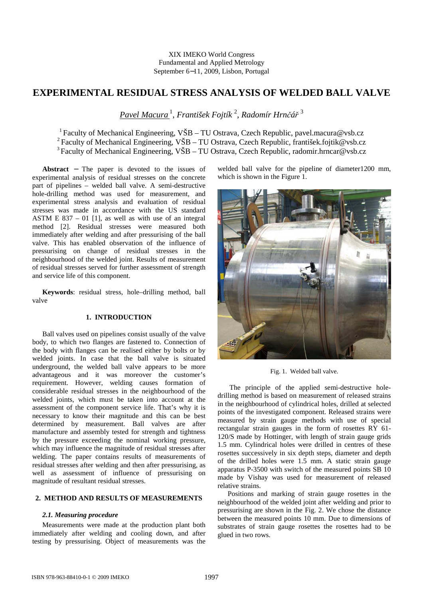# **EXPERIMENTAL RESIDUAL STRESS ANALYSIS OF WELDED BALL VALVE**

*Pavel Macura* <sup>1</sup> , *František Fojtík* <sup>2</sup> , *Radomír Hrnčář* 3

<sup>1</sup> Faculty of Mechanical Engineering, VŠB – TU Ostrava, Czech Republic, pavel.macura@vsb.cz <sup>2</sup> Faculty of Mechanical Engineering, VŠB – TU Ostrava, Czech Republic, františek.fojtik@vsb.cz <sup>3</sup> Faculty of Mechanical Engineering, VŠB – TU Ostrava, Czech Republic, radomir.hrncar@vsb.cz

**Abstract** − The paper is devoted to the issues of experimental analysis of residual stresses on the concrete part of pipelines – welded ball valve. A semi-destructive hole-drilling method was used for measurement, and experimental stress analysis and evaluation of residual stresses was made in accordance with the US standard ASTM E  $837 - 01$  [1], as well as with use of an integral method [2]. Residual stresses were measured both immediately after welding and after pressurising of the ball valve. This has enabled observation of the influence of pressurising on change of residual stresses in the neighbourhood of the welded joint. Results of measurement of residual stresses served for further assessment of strength and service life of this component.

**Keywords**: residual stress, hole–drilling method, ball valve

## **1. INTRODUCTION**

Ball valves used on pipelines consist usually of the valve body, to which two flanges are fastened to. Connection of the body with flanges can be realised either by bolts or by welded joints. In case that the ball valve is situated underground, the welded ball valve appears to be more advantageous and it was moreover the customer's requirement. However, welding causes formation of considerable residual stresses in the neighbourhood of the welded joints, which must be taken into account at the assessment of the component service life. That's why it is necessary to know their magnitude and this can be best determined by measurement. Ball valves are after manufacture and assembly tested for strength and tightness by the pressure exceeding the nominal working pressure, which may influence the magnitude of residual stresses after welding. The paper contains results of measurements of residual stresses after welding and then after pressurising, as well as assessment of influence of pressurising on magnitude of resultant residual stresses.

# **2. METHOD AND RESULTS OF MEASUREMENTS**

#### *2.1. Measuring procedure*

Measurements were made at the production plant both immediately after welding and cooling down, and after testing by pressurising. Object of measurements was the welded ball valve for the pipeline of diameter1200 mm, which is shown in the Figure 1.



Fig. 1. Welded ball valve.

 The principle of the applied semi-destructive holedrilling method is based on measurement of released strains in the neighbourhood of cylindrical holes, drilled at selected points of the investigated component. Released strains were measured by strain gauge methods with use of special rectangular strain gauges in the form of rosettes RY 61- 120/S made by Hottinger, with length of strain gauge grids 1.5 mm. Cylindrical holes were drilled in centres of these rosettes successively in six depth steps, diameter and depth of the drilled holes were 1.5 mm. A static strain gauge apparatus P-3500 with switch of the measured points SB 10 made by Vishay was used for measurement of released relative strains.

Positions and marking of strain gauge rosettes in the neighbourhood of the welded joint after welding and prior to pressurising are shown in the Fig. 2. We chose the distance between the measured points 10 mm. Due to dimensions of substrates of strain gauge rosettes the rosettes had to be glued in two rows.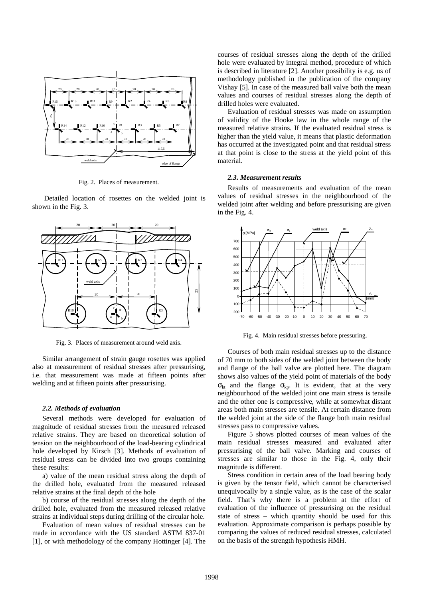

Fig. 2. Places of measurement.

 Detailed location of rosettes on the welded joint is shown in the Fig. 3.



Fig. 3. Places of measurement around weld axis.

Similar arrangement of strain gauge rosettes was applied also at measurement of residual stresses after pressurising, i.e. that measurement was made at fifteen points after welding and at fifteen points after pressurising.

#### *2.2. Methods of evaluation*

Several methods were developed for evaluation of magnitude of residual stresses from the measured released relative strains. They are based on theoretical solution of tension on the neighbourhood of the load-bearing cylindrical hole developed by Kirsch [3]. Methods of evaluation of residual stress can be divided into two groups containing these results:

a) value of the mean residual stress along the depth of the drilled hole, evaluated from the measured released relative strains at the final depth of the hole

b) course of the residual stresses along the depth of the drilled hole, evaluated from the measured released relative strains at individual steps during drilling of the circular hole.

Evaluation of mean values of residual stresses can be made in accordance with the US standard ASTM 837-01 [1], or with methodology of the company Hottinger [4]. The

courses of residual stresses along the depth of the drilled hole were evaluated by integral method, procedure of which is described in literature [2]. Another possibility is e.g. us of methodology published in the publication of the company Vishay [5]. In case of the measured ball valve both the mean values and courses of residual stresses along the depth of drilled holes were evaluated.

Evaluation of residual stresses was made on assumption of validity of the Hooke law in the whole range of the measured relative strains. If the evaluated residual stress is higher than the yield value, it means that plastic deformation has occurred at the investigated point and that residual stress at that point is close to the stress at the yield point of this material.

#### *2.3. Measurement results*

Results of measurements and evaluation of the mean values of residual stresses in the neighbourhood of the welded joint after welding and before pressurising are given in the Fig. 4.



Fig. 4. Main residual stresses before pressuring.

Courses of both main residual stresses up to the distance of 70 mm to both sides of the welded joint between the body and flange of the ball valve are plotted here. The diagram shows also values of the yield point of materials of the body  $\sigma_{kt}$  and the flange  $\sigma_{kp}$ . It is evident, that at the very neighbourhood of the welded joint one main stress is tensile and the other one is compressive, while at somewhat distant areas both main stresses are tensile. At certain distance from the welded joint at the side of the flange both main residual stresses pass to compressive values.

Figure 5 shows plotted courses of mean values of the main residual stresses measured and evaluated after pressurising of the ball valve. Marking and courses of stresses are similar to those in the Fig. 4, only their magnitude is different.

Stress condition in certain area of the load bearing body is given by the tensor field, which cannot be characterised unequivocally by a single value, as is the case of the scalar field. That's why there is a problem at the effort of evaluation of the influence of pressurising on the residual state of stress – which quantity should be used for this evaluation. Approximate comparison is perhaps possible by comparing the values of reduced residual stresses, calculated on the basis of the strength hypothesis HMH.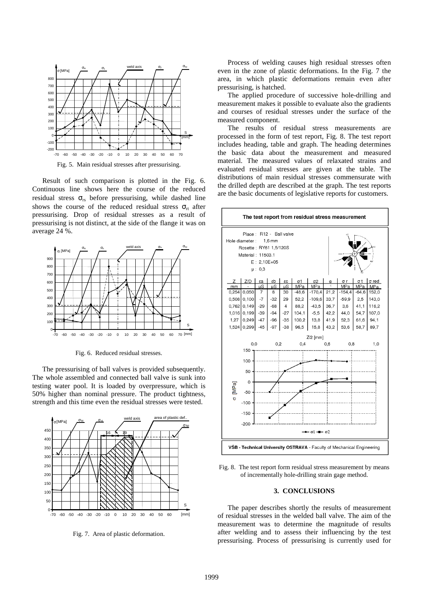

Fig. 5. Main residual stresses after pressurising.

Result of such comparison is plotted in the Fig. 6. Continuous line shows here the course of the reduced residual stress  $\sigma_{rs}$  before pressurising, while dashed line shows the course of the reduced residual stress  $\sigma_{rt}$  after pressurising. Drop of residual stresses as a result of pressurising is not distinct, at the side of the flange it was on average 24 %.



Fig. 6. Reduced residual stresses.

The pressurising of ball valves is provided subsequently. The whole assembled and connected ball valve is sunk into testing water pool. It is loaded by overpressure, which is 50% higher than nominal pressure. The product tightness, strength and this time even the residual stresses were tested.



Fig. 7. Area of plastic deformation.

Process of welding causes high residual stresses often even in the zone of plastic deformations. In the Fig. 7 the area, in which plastic deformations remain even after pressurising, is hatched.

The applied procedure of successive hole-drilling and measurement makes it possible to evaluate also the gradients and courses of residual stresses under the surface of the measured component.

The results of residual stress measurements are processed in the form of test report, Fig. 8. The test report includes heading, table and graph. The heading determines the basic data about the measurement and measured material. The measured values of relaxated strains and evaluated residual stresses are given at the table. The distributions of main residual stresses commensurate with the drilled depth are described at the graph. The test reports are the basic documents of legislative reports for customers.



Fig. 8. The test report form residual stress measurement by means of incrementally hole-drilling strain gage method.

#### **3. CONCLUSIONS**

The paper describes shortly the results of measurement of residual stresses in the welded ball valve. The aim of the measurement was to determine the magnitude of results after welding and to assess their influencing by the test pressurising. Process of pressurising is currently used for